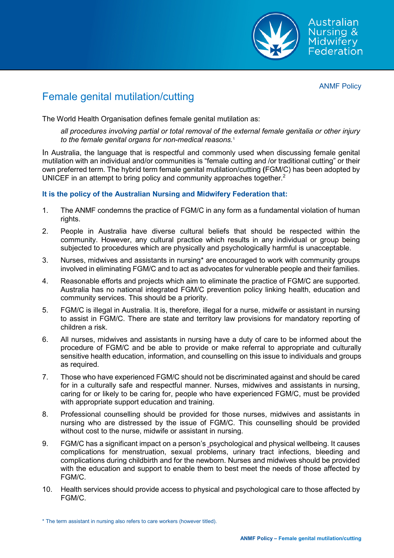

ANMF Policy

## Female genital mutilation/cutting

The World Health Organisation defines female genital mutilation as:

*all procedures involving partial or total removal of the external female genitalia or other injury to the female genital organs for non-medical reasons.*<sup>1</sup>

In Australia, the language that is respectful and commonly used when discussing female genital mutilation with an individual and/or communities is "female cutting and /or traditional cutting" or their own preferred term. The hybrid term female genital mutilation/cutting **(**FGM/C) has been adopted by UNICEF in an attempt to bring policy and community approaches together. $^{\text{2}}$ 

## **It is the policy of the Australian Nursing and Midwifery Federation that:**

- 1. The ANMF condemns the practice of FGM/C in any form as a fundamental violation of human rights.
- 2. People in Australia have diverse cultural beliefs that should be respected within the community. However, any cultural practice which results in any individual or group being subjected to procedures which are physically and psychologically harmful is unacceptable.
- 3. Nurses, midwives and assistants in nursing\* are encouraged to work with community groups involved in eliminating FGM/C and to act as advocates for vulnerable people and their families.
- 4. Reasonable efforts and projects which aim to eliminate the practice of FGM/C are supported. Australia has no national integrated FGM/C prevention policy linking health, education and community services. This should be a priority.
- 5. FGM/C is illegal in Australia. It is, therefore, illegal for a nurse, midwife or assistant in nursing to assist in FGM/C. There are state and territory law provisions for mandatory reporting of children a risk.
- 6. All nurses, midwives and assistants in nursing have a duty of care to be informed about the procedure of FGM/C and be able to provide or make referral to appropriate and culturally sensitive health education, information, and counselling on this issue to individuals and groups as required.
- 7. Those who have experienced FGM/C should not be discriminated against and should be cared for in a culturally safe and respectful manner. Nurses, midwives and assistants in nursing, caring for or likely to be caring for, people who have experienced FGM/C, must be provided with appropriate support education and training.
- 8. Professional counselling should be provided for those nurses, midwives and assistants in nursing who are distressed by the issue of FGM/C. This counselling should be provided without cost to the nurse, midwife or assistant in nursing.
- 9. FGM/C has a significant impact on a person's psychological and physical wellbeing. It causes complications for menstruation, sexual problems, urinary tract infections, bleeding and complications during childbirth and for the newborn. Nurses and midwives should be provided with the education and support to enable them to best meet the needs of those affected by FGM/C.
- 10. Health services should provide access to physical and psychological care to those affected by FGM/C.

<sup>\*</sup> The term assistant in nursing also refers to care workers (however titled).